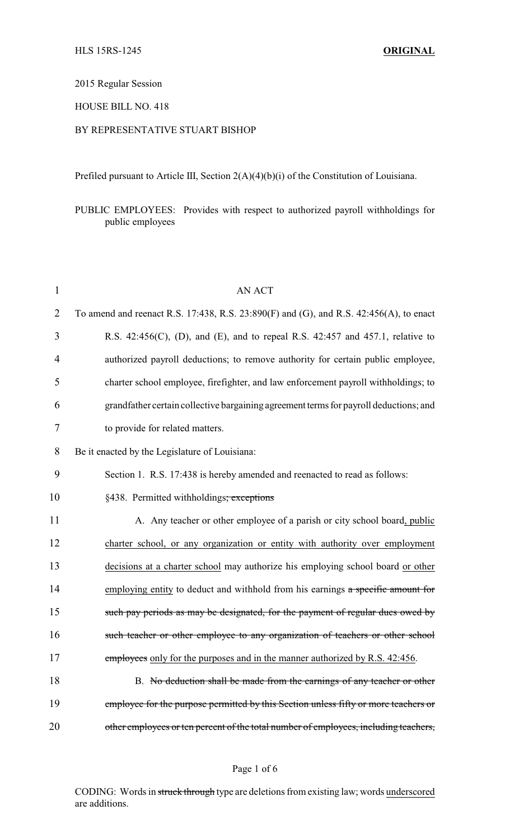# 2015 Regular Session

# HOUSE BILL NO. 418

## BY REPRESENTATIVE STUART BISHOP

Prefiled pursuant to Article III, Section 2(A)(4)(b)(i) of the Constitution of Louisiana.

PUBLIC EMPLOYEES: Provides with respect to authorized payroll withholdings for public employees

| $\mathbf{1}$   | <b>AN ACT</b>                                                                          |
|----------------|----------------------------------------------------------------------------------------|
| $\overline{2}$ | To amend and reenact R.S. 17:438, R.S. 23:890(F) and (G), and R.S. 42:456(A), to enact |
| 3              | R.S. $42:456(C)$ , (D), and (E), and to repeal R.S. $42:457$ and $457.1$ , relative to |
| 4              | authorized payroll deductions; to remove authority for certain public employee,        |
| 5              | charter school employee, firefighter, and law enforcement payroll withholdings; to     |
| 6              | grandfather certain collective bargaining agreement terms for payroll deductions; and  |
| $\tau$         | to provide for related matters.                                                        |
| 8              | Be it enacted by the Legislature of Louisiana:                                         |
| 9              | Section 1. R.S. 17:438 is hereby amended and reenacted to read as follows:             |
| 10             | §438. Permitted withholdings; exceptions                                               |
| 11             | A. Any teacher or other employee of a parish or city school board, public              |
| 12             | charter school, or any organization or entity with authority over employment           |
| 13             | decisions at a charter school may authorize his employing school board or other        |
| 14             | employing entity to deduct and withhold from his earnings a specific amount for        |
| 15             | such pay periods as may be designated, for the payment of regular dues owed by         |
| 16             | such teacher or other employee to any organization of teachers or other school         |
| 17             | employees only for the purposes and in the manner authorized by R.S. 42:456.           |
| 18             | B. No deduction shall be made from the earnings of any teacher or other                |
| 19             | employee for the purpose permitted by this Section unless fifty or more teachers or    |
| 20             | other employees or ten percent of the total number of employees, including teachers,   |

#### Page 1 of 6

CODING: Words in struck through type are deletions from existing law; words underscored are additions.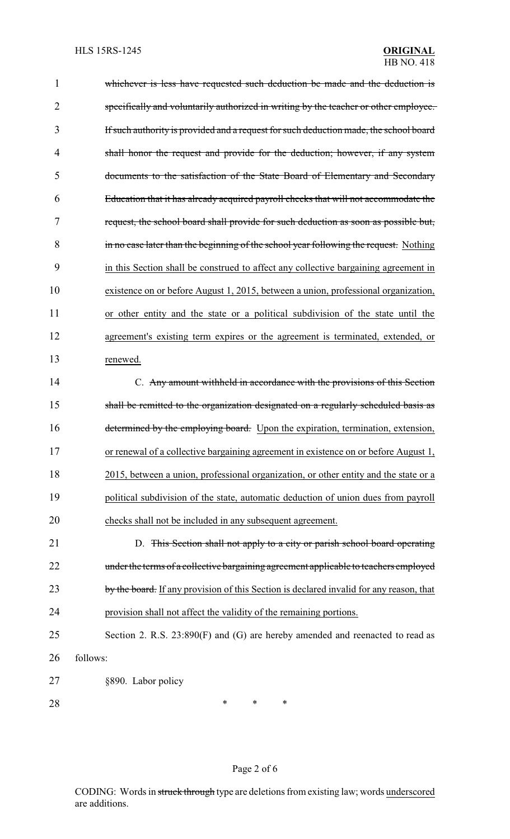| 1              | whichever is less have requested such deduction be made and the deduction is            |
|----------------|-----------------------------------------------------------------------------------------|
| $\overline{2}$ | specifically and voluntarily authorized in writing by the teacher or other employee.    |
| 3              | If such authority is provided and a request for such deduction made, the school board   |
| 4              | shall honor the request and provide for the deduction; however, if any system           |
| 5              | documents to the satisfaction of the State Board of Elementary and Secondary            |
| 6              | Education that it has already acquired payroll checks that will not accommodate the     |
| 7              | request, the school board shall provide for such deduction as soon as possible but,     |
| 8              | in no case later than the beginning of the school year following the request. Nothing   |
| 9              | in this Section shall be construed to affect any collective bargaining agreement in     |
| 10             | existence on or before August 1, 2015, between a union, professional organization,      |
| 11             | or other entity and the state or a political subdivision of the state until the         |
| 12             | agreement's existing term expires or the agreement is terminated, extended, or          |
| 13             | renewed.                                                                                |
| 14             | C. Any amount withheld in accordance with the provisions of this Section                |
| 15             | shall be remitted to the organization designated on a regularly scheduled basis as      |
| 16             | determined by the employing board. Upon the expiration, termination, extension,         |
| 17             | or renewal of a collective bargaining agreement in existence on or before August 1,     |
| 18             | 2015, between a union, professional organization, or other entity and the state or a    |
| 19             | political subdivision of the state, automatic deduction of union dues from payroll      |
| 20             | checks shall not be included in any subsequent agreement.                               |
| 21             | D. This Section shall not apply to a city or parish school board operating              |
| 22             | under the terms of a collective bargaining agreement applicable to teachers employed    |
| 23             | by the board. If any provision of this Section is declared invalid for any reason, that |
| 24             | provision shall not affect the validity of the remaining portions.                      |
| 25             | Section 2. R.S. 23:890(F) and (G) are hereby amended and reenacted to read as           |
| 26             | follows:                                                                                |
| 27             | §890. Labor policy                                                                      |
| 28             | ∗<br>$\ast$<br>*                                                                        |

# Page 2 of 6

CODING: Words in struck through type are deletions from existing law; words underscored are additions.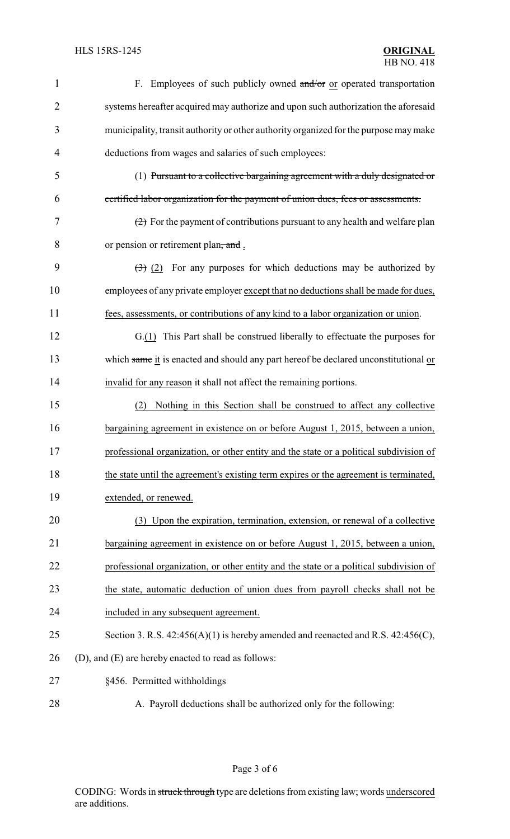| $\mathbf{1}$   | F. Employees of such publicly owned and/or or operated transportation                                 |
|----------------|-------------------------------------------------------------------------------------------------------|
| $\overline{2}$ | systems hereafter acquired may authorize and upon such authorization the aforesaid                    |
| 3              | municipality, transit authority or other authority organized for the purpose may make                 |
| 4              | deductions from wages and salaries of such employees:                                                 |
| 5              | (1) Pursuant to a collective bargaining agreement with a duly designated or                           |
| 6              | certified labor organization for the payment of union dues, fees or assessments.                      |
| 7              | $\left( \frac{2}{2} \right)$ For the payment of contributions pursuant to any health and welfare plan |
| 8              | or pension or retirement plan, and.                                                                   |
| 9              | $\left(\frac{1}{2}\right)$ (2) For any purposes for which deductions may be authorized by             |
| 10             | employees of any private employer except that no deductions shall be made for dues,                   |
| 11             | fees, assessments, or contributions of any kind to a labor organization or union.                     |
| 12             | G.(1) This Part shall be construed liberally to effectuate the purposes for                           |
| 13             | which same it is enacted and should any part hereof be declared unconstitutional or                   |
| 14             | invalid for any reason it shall not affect the remaining portions.                                    |
| 15             | Nothing in this Section shall be construed to affect any collective<br>(2)                            |
| 16             | bargaining agreement in existence on or before August 1, 2015, between a union,                       |
| 17             | professional organization, or other entity and the state or a political subdivision of                |
| 18             | the state until the agreement's existing term expires or the agreement is terminated,                 |
| 19             | extended, or renewed.                                                                                 |
| 20             | (3) Upon the expiration, termination, extension, or renewal of a collective                           |
| 21             | bargaining agreement in existence on or before August 1, 2015, between a union,                       |
| 22             | professional organization, or other entity and the state or a political subdivision of                |
| 23             | the state, automatic deduction of union dues from payroll checks shall not be                         |
| 24             | included in any subsequent agreement.                                                                 |
| 25             | Section 3. R.S. $42:456(A)(1)$ is hereby amended and reenacted and R.S. $42:456(C)$ ,                 |
| 26             | (D), and (E) are hereby enacted to read as follows:                                                   |
| 27             | §456. Permitted withholdings                                                                          |
| 28             | A. Payroll deductions shall be authorized only for the following:                                     |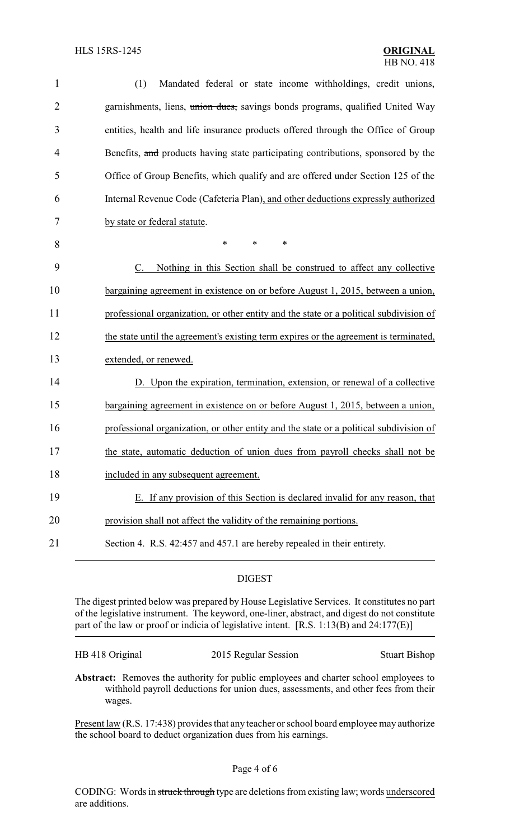| $\mathbf{1}$   | Mandated federal or state income withholdings, credit unions,<br>(1)                   |
|----------------|----------------------------------------------------------------------------------------|
| $\overline{2}$ | garnishments, liens, union dues, savings bonds programs, qualified United Way          |
| 3              | entities, health and life insurance products offered through the Office of Group       |
| 4              | Benefits, and products having state participating contributions, sponsored by the      |
| 5              | Office of Group Benefits, which qualify and are offered under Section 125 of the       |
| 6              | Internal Revenue Code (Cafeteria Plan), and other deductions expressly authorized      |
| 7              | by state or federal statute.                                                           |
| 8              | $\ast$<br>*<br>*                                                                       |
| 9              | Nothing in this Section shall be construed to affect any collective<br>C.              |
| 10             | bargaining agreement in existence on or before August 1, 2015, between a union,        |
| 11             | professional organization, or other entity and the state or a political subdivision of |
| 12             | the state until the agreement's existing term expires or the agreement is terminated,  |
| 13             | extended, or renewed.                                                                  |
| 14             | D. Upon the expiration, termination, extension, or renewal of a collective             |
| 15             | bargaining agreement in existence on or before August 1, 2015, between a union,        |
| 16             | professional organization, or other entity and the state or a political subdivision of |
| 17             | the state, automatic deduction of union dues from payroll checks shall not be          |
| 18             | included in any subsequent agreement.                                                  |
| 19             | E. If any provision of this Section is declared invalid for any reason, that           |
| 20             | provision shall not affect the validity of the remaining portions.                     |
| 21             | Section 4. R.S. 42:457 and 457.1 are hereby repealed in their entirety.                |
|                |                                                                                        |

### DIGEST

The digest printed below was prepared by House Legislative Services. It constitutes no part of the legislative instrument. The keyword, one-liner, abstract, and digest do not constitute part of the law or proof or indicia of legislative intent. [R.S. 1:13(B) and 24:177(E)]

| HB 418 Original | 201 |
|-----------------|-----|
|-----------------|-----|

5 Regular Session Stuart Bishop

**Abstract:** Removes the authority for public employees and charter school employees to withhold payroll deductions for union dues, assessments, and other fees from their wages.

Present law (R.S. 17:438) provides that any teacher or school board employee may authorize the school board to deduct organization dues from his earnings.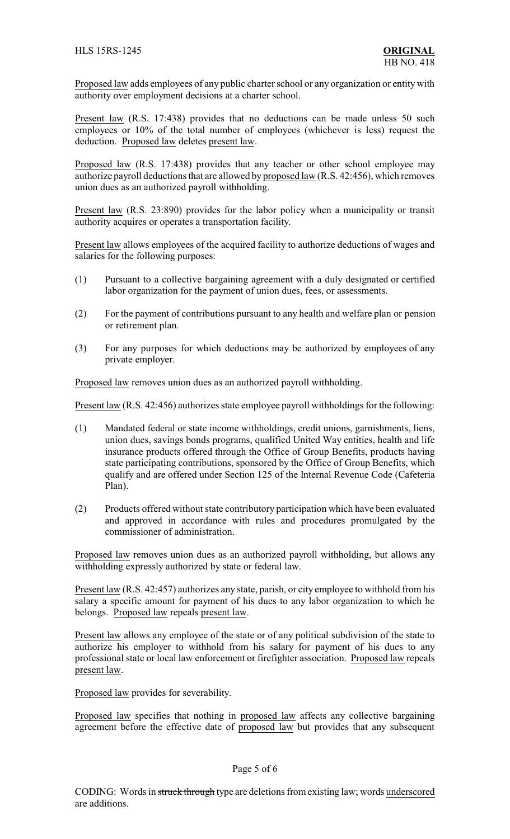Proposed law adds employees of any public charter school or any organization or entity with authority over employment decisions at a charter school.

Present law (R.S. 17:438) provides that no deductions can be made unless 50 such employees or 10% of the total number of employees (whichever is less) request the deduction. Proposed law deletes present law.

Proposed law (R.S. 17:438) provides that any teacher or other school employee may authorize payroll deductions that are allowed by proposed law (R.S. 42:456), which removes union dues as an authorized payroll withholding.

Present law (R.S. 23:890) provides for the labor policy when a municipality or transit authority acquires or operates a transportation facility.

Present law allows employees of the acquired facility to authorize deductions of wages and salaries for the following purposes:

- (1) Pursuant to a collective bargaining agreement with a duly designated or certified labor organization for the payment of union dues, fees, or assessments.
- (2) For the payment of contributions pursuant to any health and welfare plan or pension or retirement plan.
- (3) For any purposes for which deductions may be authorized by employees of any private employer.

Proposed law removes union dues as an authorized payroll withholding.

Present law (R.S. 42:456) authorizes state employee payroll withholdings for the following:

- (1) Mandated federal or state income withholdings, credit unions, garnishments, liens, union dues, savings bonds programs, qualified United Way entities, health and life insurance products offered through the Office of Group Benefits, products having state participating contributions, sponsored by the Office of Group Benefits, which qualify and are offered under Section 125 of the Internal Revenue Code (Cafeteria Plan).
- (2) Products offered without state contributory participation which have been evaluated and approved in accordance with rules and procedures promulgated by the commissioner of administration.

Proposed law removes union dues as an authorized payroll withholding, but allows any withholding expressly authorized by state or federal law.

Present law (R.S. 42:457) authorizes any state, parish, or city employee to withhold from his salary a specific amount for payment of his dues to any labor organization to which he belongs. Proposed law repeals present law.

Present law allows any employee of the state or of any political subdivision of the state to authorize his employer to withhold from his salary for payment of his dues to any professional state or local law enforcement or firefighter association. Proposed law repeals present law.

Proposed law provides for severability.

Proposed law specifies that nothing in proposed law affects any collective bargaining agreement before the effective date of proposed law but provides that any subsequent